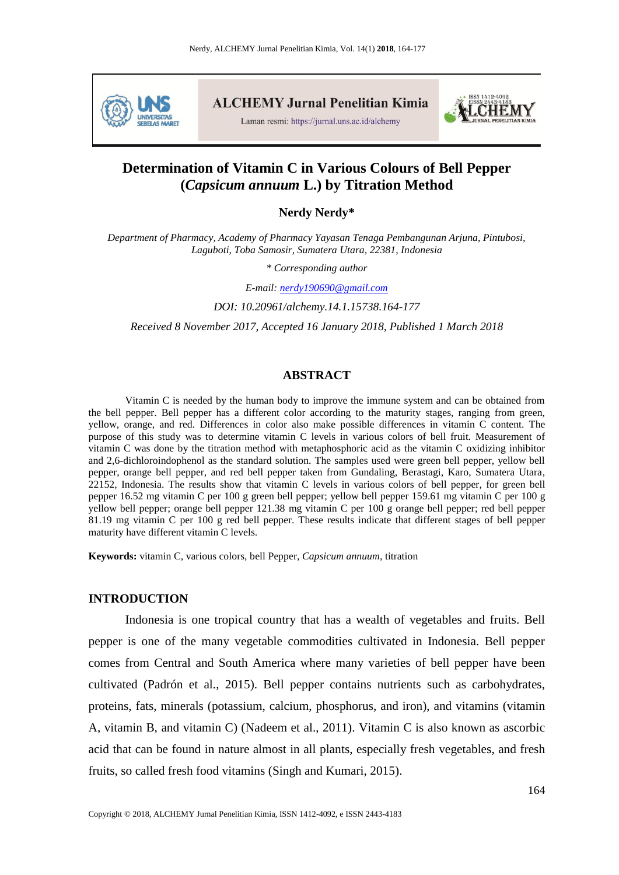

**ALCHEMY Jurnal Penelitian Kimia** 

Laman resmi: https://jurnal.uns.ac.id/alchemy



# **Determination of Vitamin C in Various Colours of Bell Pepper (***Capsicum annuum* **L.) by Titration Method**

**Nerdy Nerdy\***

*Department of Pharmacy, Academy of Pharmacy Yayasan Tenaga Pembangunan Arjuna, Pintubosi, Laguboti, Toba Samosir, Sumatera Utara, 22381, Indonesia*

*\* Corresponding author*

*E-mail: [nerdy190690@gmail.com](mailto:nerdy190690@gmail.com)*

*DOI: 10.20961/alchemy.14.1.15738.164-177*

*Received 8 November 2017, Accepted 16 January 2018, Published 1 March 2018*

#### **ABSTRACT**

Vitamin C is needed by the human body to improve the immune system and can be obtained from the bell pepper. Bell pepper has a different color according to the maturity stages, ranging from green, yellow, orange, and red. Differences in color also make possible differences in vitamin C content. The purpose of this study was to determine vitamin C levels in various colors of bell fruit. Measurement of vitamin C was done by the titration method with metaphosphoric acid as the vitamin C oxidizing inhibitor and 2,6-dichloroindophenol as the standard solution. The samples used were green bell pepper, yellow bell pepper, orange bell pepper, and red bell pepper taken from Gundaling, Berastagi, Karo, Sumatera Utara, 22152, Indonesia. The results show that vitamin C levels in various colors of bell pepper, for green bell pepper 16.52 mg vitamin C per 100 g green bell pepper; yellow bell pepper 159.61 mg vitamin C per 100 g yellow bell pepper; orange bell pepper 121.38 mg vitamin C per 100 g orange bell pepper; red bell pepper 81.19 mg vitamin C per 100 g red bell pepper. These results indicate that different stages of bell pepper maturity have different vitamin C levels.

**Keywords:** vitamin C, various colors, bell Pepper, *Capsicum annuum*, titration

## **INTRODUCTION**

Indonesia is one tropical country that has a wealth of vegetables and fruits. Bell pepper is one of the many vegetable commodities cultivated in Indonesia. Bell pepper comes from Central and South America where many varieties of bell pepper have been cultivated (Padrón et al., 2015). Bell pepper contains nutrients such as carbohydrates, proteins, fats, minerals (potassium, calcium, phosphorus, and iron), and vitamins (vitamin A, vitamin B, and vitamin C) (Nadeem et al., 2011). Vitamin C is also known as ascorbic acid that can be found in nature almost in all plants, especially fresh vegetables, and fresh fruits, so called fresh food vitamins (Singh and Kumari, 2015).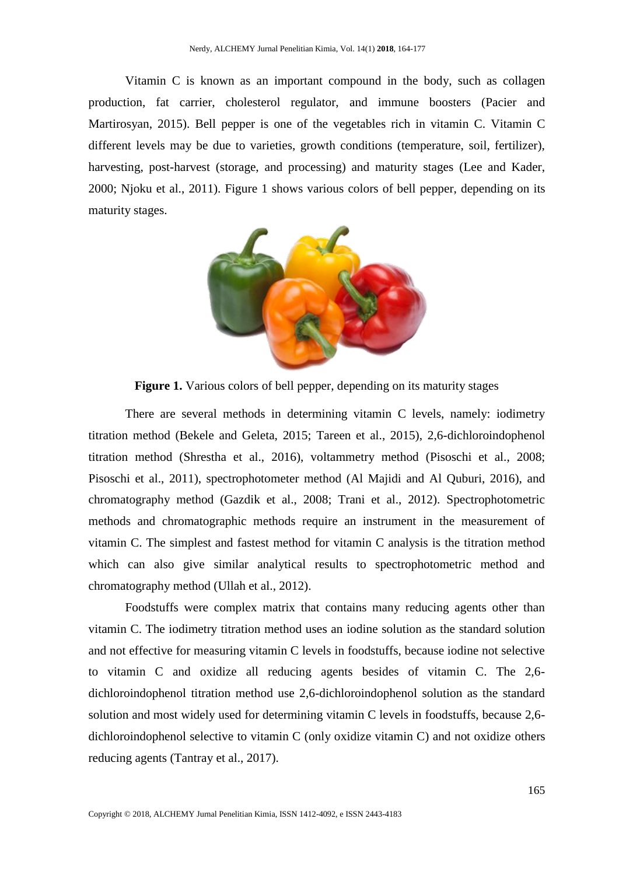Vitamin C is known as an important compound in the body, such as collagen production, fat carrier, cholesterol regulator, and immune boosters (Pacier and Martirosyan, 2015). Bell pepper is one of the vegetables rich in vitamin C. Vitamin C different levels may be due to varieties, growth conditions (temperature, soil, fertilizer), harvesting, post-harvest (storage, and processing) and maturity stages (Lee and Kader, 2000; Njoku et al., 2011). Figure 1 shows various colors of bell pepper, depending on its maturity stages.



Figure 1. Various colors of bell pepper, depending on its maturity stages

There are several methods in determining vitamin C levels, namely: iodimetry titration method (Bekele and Geleta, 2015; Tareen et al., 2015), 2,6-dichloroindophenol titration method (Shrestha et al., 2016), voltammetry method (Pisoschi et al., 2008; Pisoschi et al., 2011), spectrophotometer method (Al Majidi and Al Quburi, 2016), and chromatography method (Gazdik et al., 2008; Trani et al., 2012). Spectrophotometric methods and chromatographic methods require an instrument in the measurement of vitamin C. The simplest and fastest method for vitamin C analysis is the titration method which can also give similar analytical results to spectrophotometric method and chromatography method (Ullah et al., 2012).

Foodstuffs were complex matrix that contains many reducing agents other than vitamin C. The iodimetry titration method uses an iodine solution as the standard solution and not effective for measuring vitamin C levels in foodstuffs, because iodine not selective to vitamin C and oxidize all reducing agents besides of vitamin C. The 2,6 dichloroindophenol titration method use 2,6-dichloroindophenol solution as the standard solution and most widely used for determining vitamin C levels in foodstuffs, because 2,6 dichloroindophenol selective to vitamin C (only oxidize vitamin C) and not oxidize others reducing agents (Tantray et al., 2017).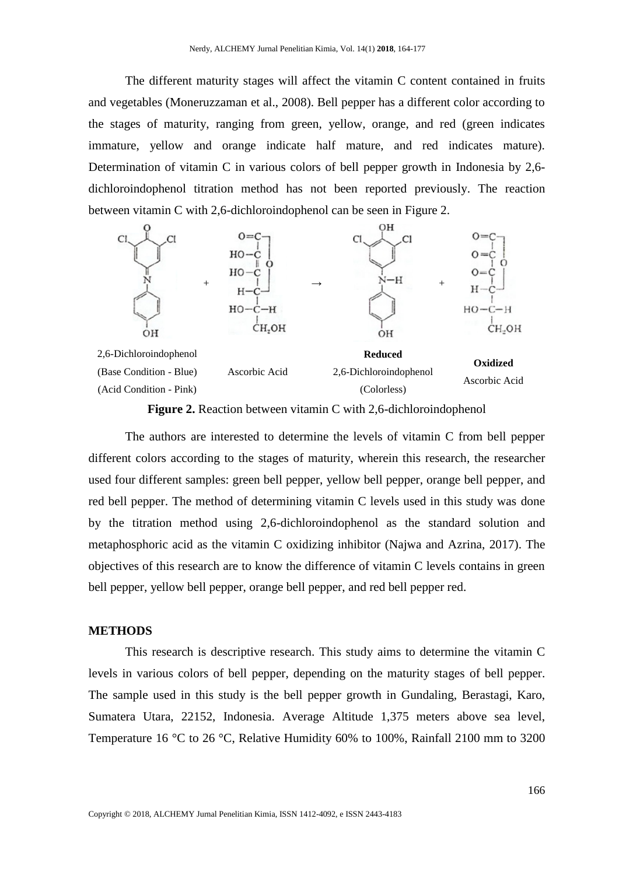The different maturity stages will affect the vitamin C content contained in fruits and vegetables (Moneruzzaman et al., 2008). Bell pepper has a different color according to the stages of maturity, ranging from green, yellow, orange, and red (green indicates immature, yellow and orange indicate half mature, and red indicates mature). Determination of vitamin C in various colors of bell pepper growth in Indonesia by 2,6 dichloroindophenol titration method has not been reported previously. The reaction between vitamin C with 2,6-dichloroindophenol can be seen in Figure 2.



**Figure 2.** Reaction between vitamin C with 2,6-dichloroindophenol

The authors are interested to determine the levels of vitamin C from bell pepper different colors according to the stages of maturity, wherein this research, the researcher used four different samples: green bell pepper, yellow bell pepper, orange bell pepper, and red bell pepper. The method of determining vitamin C levels used in this study was done by the titration method using 2,6-dichloroindophenol as the standard solution and metaphosphoric acid as the vitamin C oxidizing inhibitor (Najwa and Azrina, 2017). The objectives of this research are to know the difference of vitamin C levels contains in green bell pepper, yellow bell pepper, orange bell pepper, and red bell pepper red.

### **METHODS**

This research is descriptive research. This study aims to determine the vitamin C levels in various colors of bell pepper, depending on the maturity stages of bell pepper. The sample used in this study is the bell pepper growth in Gundaling, Berastagi, Karo, Sumatera Utara, 22152, Indonesia. Average Altitude 1,375 meters above sea level, Temperature 16 °C to 26 °C, Relative Humidity 60% to 100%, Rainfall 2100 mm to 3200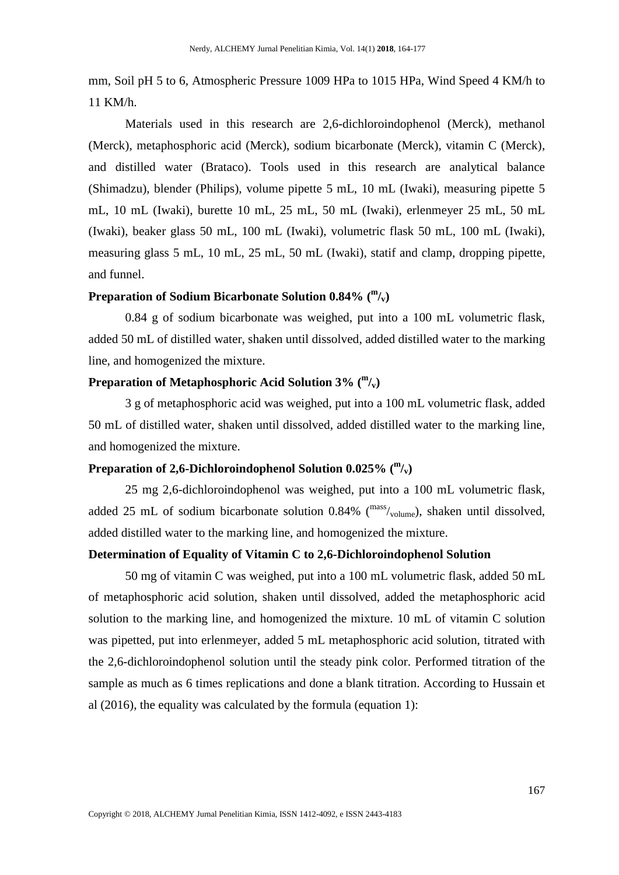mm, Soil pH 5 to 6, Atmospheric Pressure 1009 HPa to 1015 HPa, Wind Speed 4 KM/h to 11 KM/h.

Materials used in this research are 2,6-dichloroindophenol (Merck), methanol (Merck), metaphosphoric acid (Merck), sodium bicarbonate (Merck), vitamin C (Merck), and distilled water (Brataco). Tools used in this research are analytical balance (Shimadzu), blender (Philips), volume pipette 5 mL, 10 mL (Iwaki), measuring pipette 5 mL, 10 mL (Iwaki), burette 10 mL, 25 mL, 50 mL (Iwaki), erlenmeyer 25 mL, 50 mL (Iwaki), beaker glass 50 mL, 100 mL (Iwaki), volumetric flask 50 mL, 100 mL (Iwaki), measuring glass 5 mL, 10 mL, 25 mL, 50 mL (Iwaki), statif and clamp, dropping pipette, and funnel.

# **Preparation of Sodium Bicarbonate Solution 0.84% ( m /v)**

0.84 g of sodium bicarbonate was weighed, put into a 100 mL volumetric flask, added 50 mL of distilled water, shaken until dissolved, added distilled water to the marking line, and homogenized the mixture.

# **Preparation of Metaphosphoric Acid Solution 3% ( m /v)**

3 g of metaphosphoric acid was weighed, put into a 100 mL volumetric flask, added 50 mL of distilled water, shaken until dissolved, added distilled water to the marking line, and homogenized the mixture.

# **Preparation of 2,6-Dichloroindophenol Solution 0.025% ( m /v)**

25 mg 2,6-dichloroindophenol was weighed, put into a 100 mL volumetric flask, added 25 mL of sodium bicarbonate solution  $0.84\%$  ( $\text{mass}_{\text{volume}}$ ), shaken until dissolved, added distilled water to the marking line, and homogenized the mixture.

#### **Determination of Equality of Vitamin C to 2,6-Dichloroindophenol Solution**

50 mg of vitamin C was weighed, put into a 100 mL volumetric flask, added 50 mL of metaphosphoric acid solution, shaken until dissolved, added the metaphosphoric acid solution to the marking line, and homogenized the mixture. 10 mL of vitamin C solution was pipetted, put into erlenmeyer, added 5 mL metaphosphoric acid solution, titrated with the 2,6-dichloroindophenol solution until the steady pink color. Performed titration of the sample as much as 6 times replications and done a blank titration. According to Hussain et al (2016), the equality was calculated by the formula (equation 1):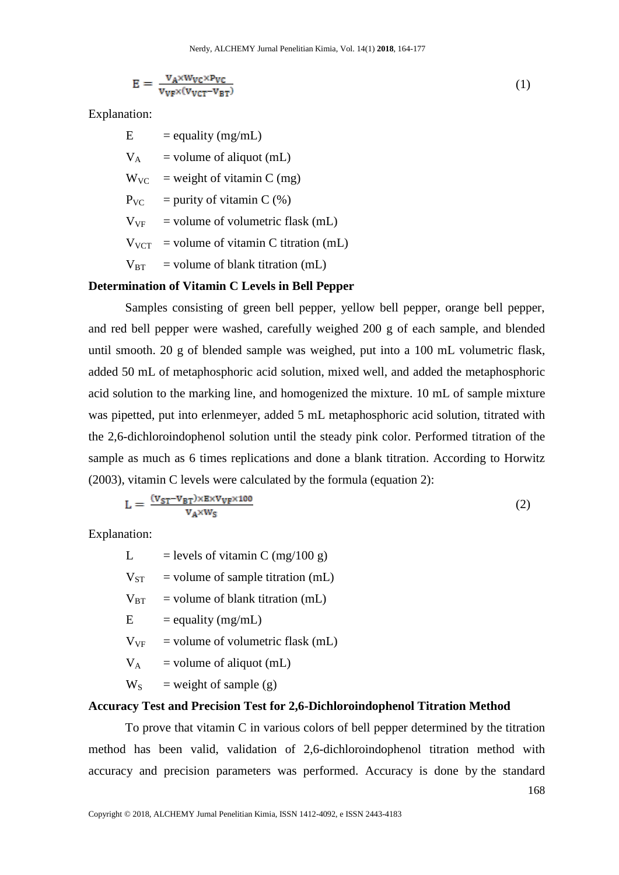$$
E = \frac{v_A \times w_{VC} \times p_{VC}}{v_{VP} \times (v_{VCT} - v_{BT})}
$$
(1)

Explanation:

 $E$  = equality (mg/mL)

 $V_A$  = volume of aliquot (mL)

 $W_{VC}$  = weight of vitamin C (mg)

 $P_{VC}$  = purity of vitamin C (%)

 $V_{VF}$  = volume of volumetric flask (mL)

 $V_{VCT}$  = volume of vitamin C titration (mL)

 $V_{BT}$  = volume of blank titration (mL)

### **Determination of Vitamin C Levels in Bell Pepper**

Samples consisting of green bell pepper, yellow bell pepper, orange bell pepper, and red bell pepper were washed, carefully weighed 200 g of each sample, and blended until smooth. 20 g of blended sample was weighed, put into a 100 mL volumetric flask, added 50 mL of metaphosphoric acid solution, mixed well, and added the metaphosphoric acid solution to the marking line, and homogenized the mixture. 10 mL of sample mixture was pipetted, put into erlenmeyer, added 5 mL metaphosphoric acid solution, titrated with the 2,6-dichloroindophenol solution until the steady pink color. Performed titration of the sample as much as 6 times replications and done a blank titration. According to Horwitz (2003), vitamin C levels were calculated by the formula (equation 2):

$$
L = \frac{(v_{ST} - v_{BT}) \times E \times v_{VF} \times 100}{v_A \times w_S} \tag{2}
$$

Explanation:

| L            | $=$ levels of vitamin C (mg/100 g)  |
|--------------|-------------------------------------|
| $V_{ST}$     | $=$ volume of sample titration (mL) |
| $V_{\rm BT}$ | $=$ volume of blank titration (mL)  |
| E            | $=$ equality (mg/mL)                |
| $V_{VF}$     | $=$ volume of volumetric flask (mL) |

 $V_A$  = volume of aliquot (mL)

 $W_S$  = weight of sample (g)

#### **Accuracy Test and Precision Test for 2,6-Dichloroindophenol Titration Method**

To prove that vitamin C in various colors of bell pepper determined by the titration method has been valid, validation of 2,6-dichloroindophenol titration method with accuracy and precision parameters was performed. Accuracy is done by the standard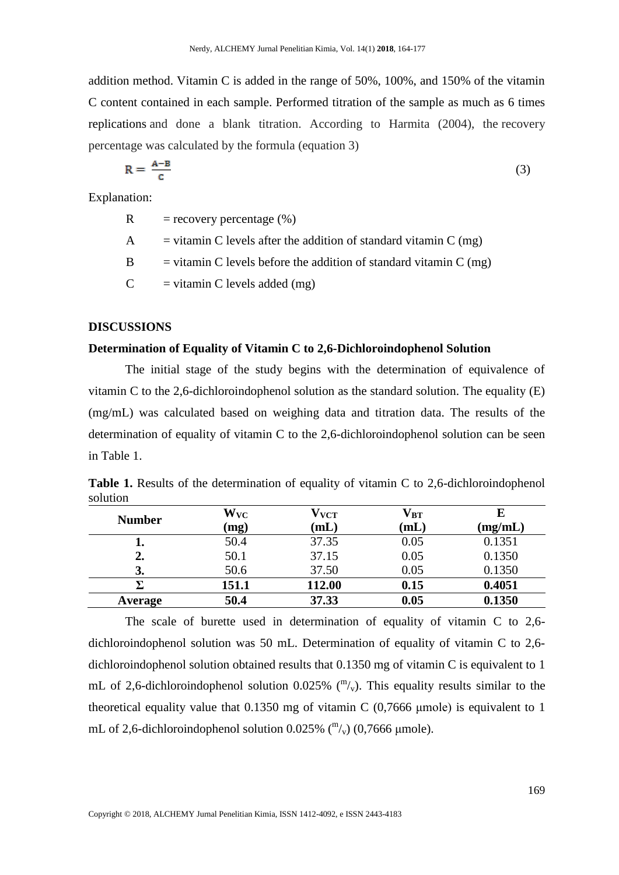addition method. Vitamin C is added in the range of 50%, 100%, and 150% of the vitamin C content contained in each sample. Performed titration of the sample as much as 6 times replications and done a blank titration. According to Harmita (2004), the recovery percentage was calculated by the formula (equation 3)

$$
R = \frac{A - B}{C} \tag{3}
$$

Explanation:

 $R =$  recovery percentage  $(\%)$ 

- A  $=$  vitamin C levels after the addition of standard vitamin C (mg)
- $B = vitamin C$  levels before the addition of standard vitamin  $C$  (mg)

 $C = vitamin C$  levels added (mg)

### **DISCUSSIONS**

# **Determination of Equality of Vitamin C to 2,6-Dichloroindophenol Solution**

The initial stage of the study begins with the determination of equivalence of vitamin C to the 2,6-dichloroindophenol solution as the standard solution. The equality (E) (mg/mL) was calculated based on weighing data and titration data. The results of the determination of equality of vitamin C to the 2,6-dichloroindophenol solution can be seen in Table 1.

**Table 1.** Results of the determination of equality of vitamin C to 2,6-dichloroindophenol solution

| <b>Number</b>  | $\mathbf{W}_{\mathbf{VC}}$ | $\rm V_{VCT}$ | $\mathbf{V_{BT}}$ |         |
|----------------|----------------------------|---------------|-------------------|---------|
|                | (mg)                       | $\bf (mL)$    | $({\bf mL})$      | (mg/mL) |
| ı.             | 50.4                       | 37.35         | 0.05              | 0.1351  |
| 2.             | 50.1                       | 37.15         | 0.05              | 0.1350  |
| 3.             | 50.6                       | 37.50         | 0.05              | 0.1350  |
|                | 151.1                      | 112.00        | 0.15              | 0.4051  |
| <b>Average</b> | 50.4                       | 37.33         | 0.05              | 0.1350  |

The scale of burette used in determination of equality of vitamin C to 2,6 dichloroindophenol solution was 50 mL. Determination of equality of vitamin C to 2,6 dichloroindophenol solution obtained results that 0.1350 mg of vitamin C is equivalent to 1 mL of 2,6-dichloroindophenol solution 0.025%  $\binom{m}{v}$ . This equality results similar to the theoretical equality value that  $0.1350$  mg of vitamin C  $(0.7666 \mu \text{mole})$  is equivalent to 1 mL of 2,6-dichloroindophenol solution  $0.025\%$  ( $\binom{m}{v}$ ) (0,7666 µmole).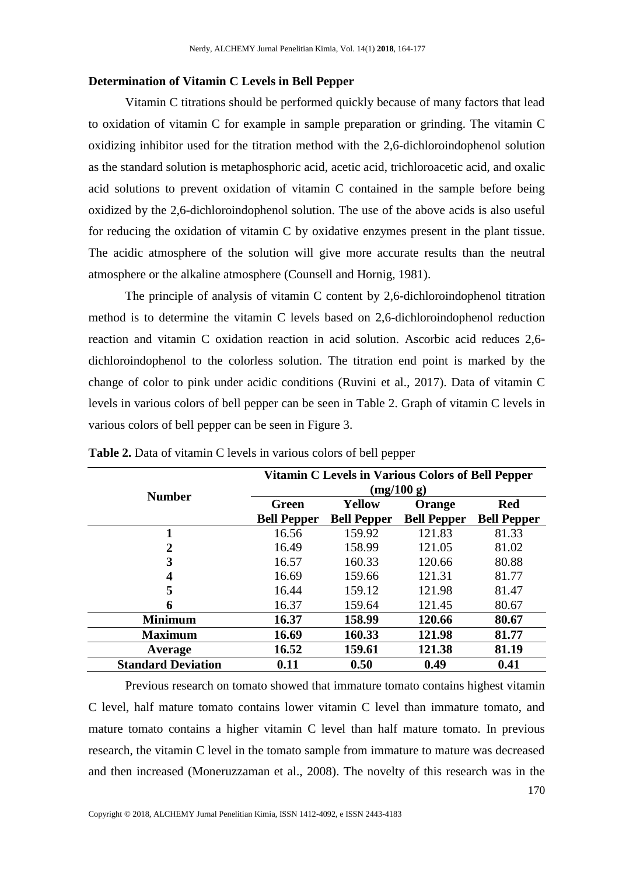#### **Determination of Vitamin C Levels in Bell Pepper**

Vitamin C titrations should be performed quickly because of many factors that lead to oxidation of vitamin C for example in sample preparation or grinding. The vitamin C oxidizing inhibitor used for the titration method with the 2,6-dichloroindophenol solution as the standard solution is metaphosphoric acid, acetic acid, trichloroacetic acid, and oxalic acid solutions to prevent oxidation of vitamin C contained in the sample before being oxidized by the 2,6-dichloroindophenol solution. The use of the above acids is also useful for reducing the oxidation of vitamin C by oxidative enzymes present in the plant tissue. The acidic atmosphere of the solution will give more accurate results than the neutral atmosphere or the alkaline atmosphere (Counsell and Hornig, 1981).

The principle of analysis of vitamin C content by 2,6-dichloroindophenol titration method is to determine the vitamin C levels based on 2,6-dichloroindophenol reduction reaction and vitamin C oxidation reaction in acid solution. Ascorbic acid reduces 2,6 dichloroindophenol to the colorless solution. The titration end point is marked by the change of color to pink under acidic conditions (Ruvini et al., 2017). Data of vitamin C levels in various colors of bell pepper can be seen in Table 2. Graph of vitamin C levels in various colors of bell pepper can be seen in Figure 3.

|                           | Vitamin C Levels in Various Colors of Bell Pepper<br>(mg/100 g) |                    |                    |                    |  |
|---------------------------|-----------------------------------------------------------------|--------------------|--------------------|--------------------|--|
| <b>Number</b>             | <b>Green</b>                                                    | Yellow             | Orange             | <b>Red</b>         |  |
|                           | <b>Bell Pepper</b>                                              | <b>Bell Pepper</b> | <b>Bell Pepper</b> | <b>Bell Pepper</b> |  |
|                           | 16.56                                                           | 159.92             | 121.83             | 81.33              |  |
| $\mathbf 2$               | 16.49                                                           | 158.99             | 121.05             | 81.02              |  |
| 3                         | 16.57                                                           | 160.33             | 120.66             | 80.88              |  |
| 4                         | 16.69                                                           | 159.66             | 121.31             | 81.77              |  |
| 5                         | 16.44                                                           | 159.12             | 121.98             | 81.47              |  |
| 6                         | 16.37                                                           | 159.64             | 121.45             | 80.67              |  |
| <b>Minimum</b>            | 16.37                                                           | 158.99             | 120.66             | 80.67              |  |
| <b>Maximum</b>            | 16.69                                                           | 160.33             | 121.98             | 81.77              |  |
| Average                   | 16.52                                                           | 159.61             | 121.38             | 81.19              |  |
| <b>Standard Deviation</b> | 0.11                                                            | 0.50               | 0.49               | 0.41               |  |

**Table 2.** Data of vitamin C levels in various colors of bell pepper

Previous research on tomato showed that immature tomato contains highest vitamin C level, half mature tomato contains lower vitamin C level than immature tomato, and mature tomato contains a higher vitamin C level than half mature tomato. In previous research, the vitamin C level in the tomato sample from immature to mature was decreased and then increased (Moneruzzaman et al., 2008). The novelty of this research was in the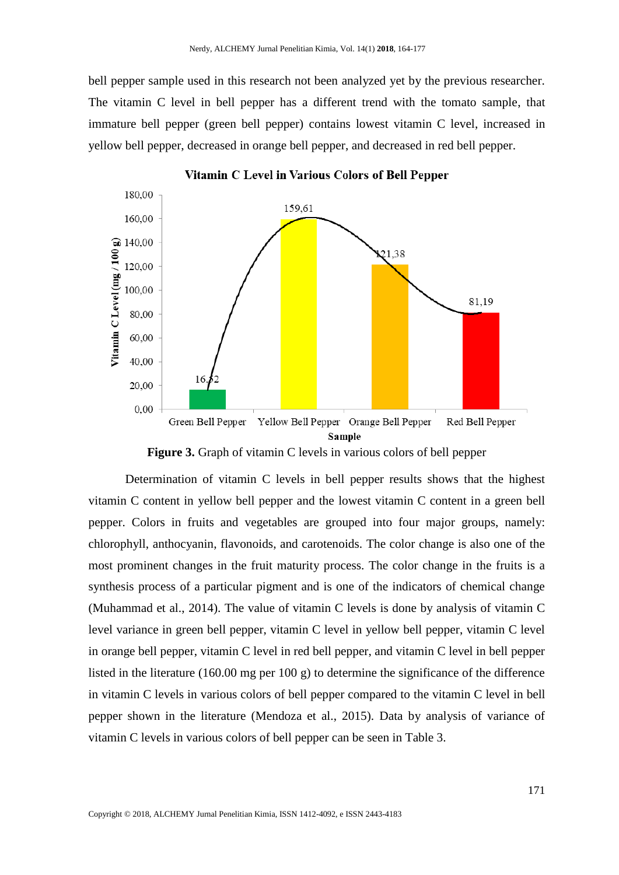bell pepper sample used in this research not been analyzed yet by the previous researcher. The vitamin C level in bell pepper has a different trend with the tomato sample, that immature bell pepper (green bell pepper) contains lowest vitamin C level, increased in yellow bell pepper, decreased in orange bell pepper, and decreased in red bell pepper.



Vitamin C Level in Various Colors of Bell Pepper

**Figure 3.** Graph of vitamin C levels in various colors of bell pepper

Determination of vitamin C levels in bell pepper results shows that the highest vitamin C content in yellow bell pepper and the lowest vitamin C content in a green bell pepper. Colors in fruits and vegetables are grouped into four major groups, namely: chlorophyll, anthocyanin, flavonoids, and carotenoids. The color change is also one of the most prominent changes in the fruit maturity process. The color change in the fruits is a synthesis process of a particular pigment and is one of the indicators of chemical change (Muhammad et al., 2014). The value of vitamin C levels is done by analysis of vitamin C level variance in green bell pepper, vitamin C level in yellow bell pepper, vitamin C level in orange bell pepper, vitamin C level in red bell pepper, and vitamin C level in bell pepper listed in the literature (160.00 mg per 100 g) to determine the significance of the difference in vitamin C levels in various colors of bell pepper compared to the vitamin C level in bell pepper shown in the literature (Mendoza et al., 2015). Data by analysis of variance of vitamin C levels in various colors of bell pepper can be seen in Table 3.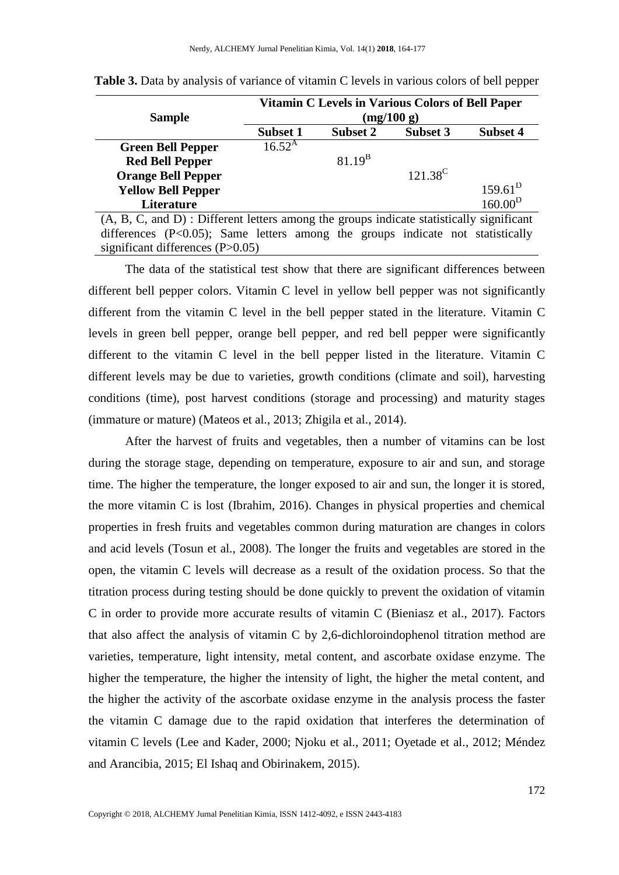|                                                                                            | Vitamin C Levels in Various Colors of Bell Paper |             |  |            |  |                     |
|--------------------------------------------------------------------------------------------|--------------------------------------------------|-------------|--|------------|--|---------------------|
| <b>Sample</b>                                                                              | (mg/100 g)                                       |             |  |            |  |                     |
|                                                                                            | <b>Subset 1</b>                                  | Subset 2    |  | Subset 3   |  | Subset 4            |
| <b>Green Bell Pepper</b>                                                                   | $16.52^{\rm A}$                                  |             |  |            |  |                     |
| <b>Red Bell Pepper</b>                                                                     |                                                  | $81.19^{B}$ |  |            |  |                     |
| <b>Orange Bell Pepper</b>                                                                  |                                                  |             |  | $121.38^C$ |  |                     |
| <b>Yellow Bell Pepper</b>                                                                  |                                                  |             |  |            |  | $159.61^D$          |
| Literature                                                                                 |                                                  |             |  |            |  | 160.00 <sup>D</sup> |
| $(A, B, C, and D)$ : Different letters among the groups indicate statistically significant |                                                  |             |  |            |  |                     |
| differences (P<0.05); Same letters among the groups indicate not statistically             |                                                  |             |  |            |  |                     |

significant differences (P>0.05)

**Table 3.** Data by analysis of variance of vitamin C levels in various colors of bell pepper

The data of the statistical test show that there are significant differences between different bell pepper colors. Vitamin C level in yellow bell pepper was not significantly different from the vitamin C level in the bell pepper stated in the literature. Vitamin C levels in green bell pepper, orange bell pepper, and red bell pepper were significantly different to the vitamin C level in the bell pepper listed in the literature. Vitamin C different levels may be due to varieties, growth conditions (climate and soil), harvesting conditions (time), post harvest conditions (storage and processing) and maturity stages (immature or mature) (Mateos et al., 2013; Zhigila et al., 2014).

After the harvest of fruits and vegetables, then a number of vitamins can be lost during the storage stage, depending on temperature, exposure to air and sun, and storage time. The higher the temperature, the longer exposed to air and sun, the longer it is stored, the more vitamin C is lost (Ibrahim, 2016). Changes in physical properties and chemical properties in fresh fruits and vegetables common during maturation are changes in colors and acid levels (Tosun et al., 2008). The longer the fruits and vegetables are stored in the open, the vitamin C levels will decrease as a result of the oxidation process. So that the titration process during testing should be done quickly to prevent the oxidation of vitamin C in order to provide more accurate results of vitamin C (Bieniasz et al., 2017). Factors that also affect the analysis of vitamin C by 2,6-dichloroindophenol titration method are varieties, temperature, light intensity, metal content, and ascorbate oxidase enzyme. The higher the temperature, the higher the intensity of light, the higher the metal content, and the higher the activity of the ascorbate oxidase enzyme in the analysis process the faster the vitamin C damage due to the rapid oxidation that interferes the determination of vitamin C levels (Lee and Kader, 2000; Njoku et al., 2011; Oyetade et al., 2012; Méndez and Arancibia, 2015; El Ishaq and Obirinakem, 2015).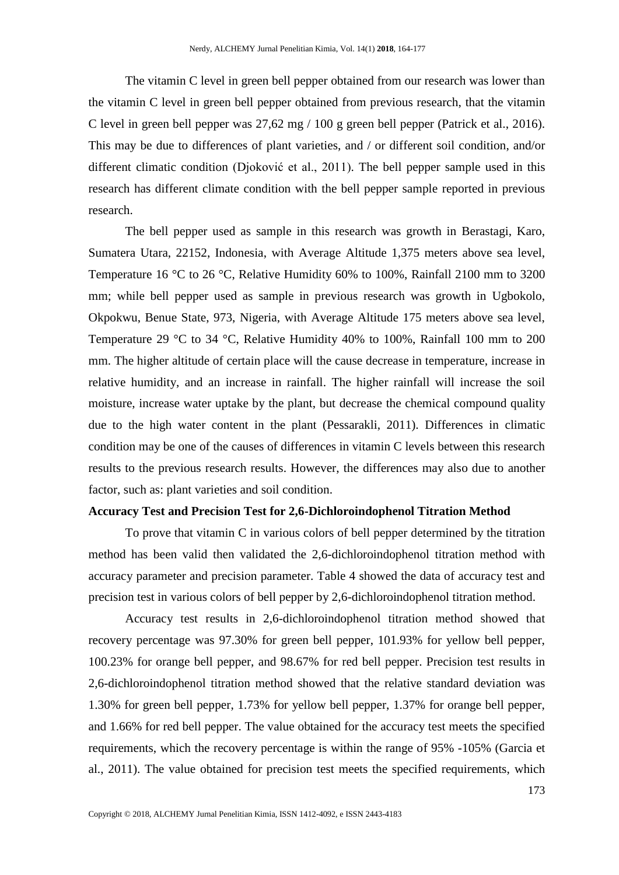The vitamin C level in green bell pepper obtained from our research was lower than the vitamin C level in green bell pepper obtained from previous research, that the vitamin C level in green bell pepper was 27,62 mg / 100 g green bell pepper (Patrick et al., 2016). This may be due to differences of plant varieties, and / or different soil condition, and/or different climatic condition (Djoković et al., 2011). The bell pepper sample used in this research has different climate condition with the bell pepper sample reported in previous research.

The bell pepper used as sample in this research was growth in Berastagi, Karo, Sumatera Utara, 22152, Indonesia, with Average Altitude 1,375 meters above sea level, Temperature 16 °C to 26 °C, Relative Humidity 60% to 100%, Rainfall 2100 mm to 3200 mm; while bell pepper used as sample in previous research was growth in Ugbokolo, Okpokwu, Benue State, 973, Nigeria, with Average Altitude 175 meters above sea level, Temperature 29 °C to 34 °C, Relative Humidity 40% to 100%, Rainfall 100 mm to 200 mm. The higher altitude of certain place will the cause decrease in temperature, increase in relative humidity, and an increase in rainfall. The higher rainfall will increase the soil moisture, increase water uptake by the plant, but decrease the chemical compound quality due to the high water content in the plant (Pessarakli, 2011). Differences in climatic condition may be one of the causes of differences in vitamin C levels between this research results to the previous research results. However, the differences may also due to another factor, such as: plant varieties and soil condition.

#### **Accuracy Test and Precision Test for 2,6-Dichloroindophenol Titration Method**

To prove that vitamin C in various colors of bell pepper determined by the titration method has been valid then validated the 2,6-dichloroindophenol titration method with accuracy parameter and precision parameter. Table 4 showed the data of accuracy test and precision test in various colors of bell pepper by 2,6-dichloroindophenol titration method.

Accuracy test results in 2,6-dichloroindophenol titration method showed that recovery percentage was 97.30% for green bell pepper, 101.93% for yellow bell pepper, 100.23% for orange bell pepper, and 98.67% for red bell pepper. Precision test results in 2,6-dichloroindophenol titration method showed that the relative standard deviation was 1.30% for green bell pepper, 1.73% for yellow bell pepper, 1.37% for orange bell pepper, and 1.66% for red bell pepper. The value obtained for the accuracy test meets the specified requirements, which the recovery percentage is within the range of 95% -105% (Garcia et al., 2011). The value obtained for precision test meets the specified requirements, which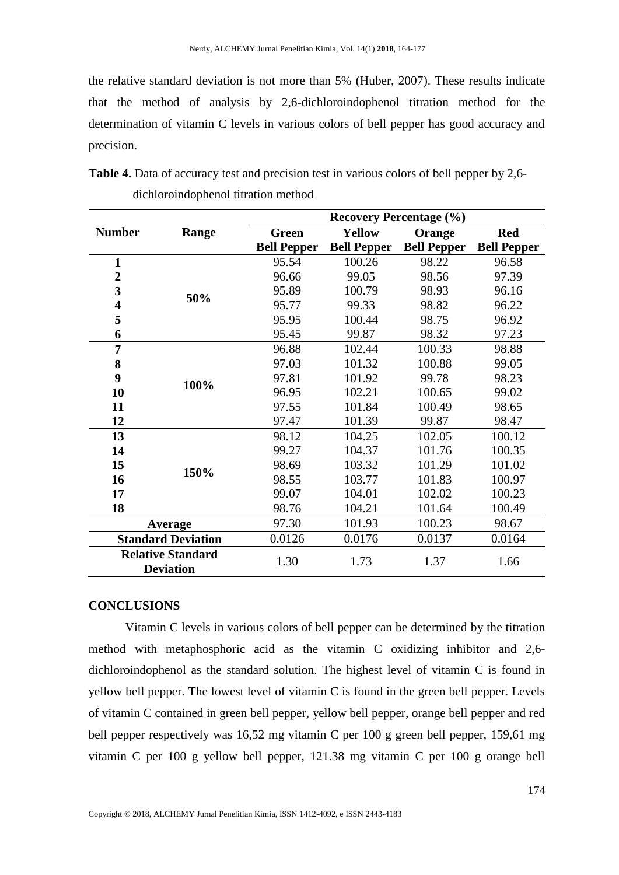the relative standard deviation is not more than 5% (Huber, 2007). These results indicate that the method of analysis by 2,6-dichloroindophenol titration method for the determination of vitamin C levels in various colors of bell pepper has good accuracy and precision.

|                |                                              | <b>Recovery Percentage (%)</b> |                    |                    |                    |  |
|----------------|----------------------------------------------|--------------------------------|--------------------|--------------------|--------------------|--|
| <b>Number</b>  | Range                                        | <b>Green</b>                   | <b>Yellow</b>      | Orange             | <b>Red</b>         |  |
|                |                                              | <b>Bell Pepper</b>             | <b>Bell Pepper</b> | <b>Bell Pepper</b> | <b>Bell Pepper</b> |  |
| $\mathbf{1}$   | 50%                                          | 95.54                          | 100.26             | 98.22              | 96.58              |  |
| $\overline{2}$ |                                              | 96.66                          | 99.05              | 98.56              | 97.39              |  |
| 3              |                                              | 95.89                          | 100.79             | 98.93              | 96.16              |  |
| 4              |                                              | 95.77                          | 99.33              | 98.82              | 96.22              |  |
| 5              |                                              | 95.95                          | 100.44             | 98.75              | 96.92              |  |
| 6              |                                              | 95.45                          | 99.87              | 98.32              | 97.23              |  |
| $\overline{7}$ |                                              | 96.88                          | 102.44             | 100.33             | 98.88              |  |
| 8              | 100%                                         | 97.03                          | 101.32             | 100.88             | 99.05              |  |
| 9              |                                              | 97.81                          | 101.92             | 99.78              | 98.23              |  |
| 10             |                                              | 96.95                          | 102.21             | 100.65             | 99.02              |  |
| 11             |                                              | 97.55                          | 101.84             | 100.49             | 98.65              |  |
| 12             |                                              | 97.47                          | 101.39             | 99.87              | 98.47              |  |
| 13             |                                              | 98.12                          | 104.25             | 102.05             | 100.12             |  |
| 14             |                                              | 99.27                          | 104.37             | 101.76             | 100.35             |  |
| 15             | 150%                                         | 98.69                          | 103.32             | 101.29             | 101.02             |  |
| 16             |                                              | 98.55                          | 103.77             | 101.83             | 100.97             |  |
| 17             |                                              | 99.07                          | 104.01             | 102.02             | 100.23             |  |
| 18             |                                              | 98.76                          | 104.21             | 101.64             | 100.49             |  |
| Average        |                                              | 97.30                          | 101.93             | 100.23             | 98.67              |  |
|                | <b>Standard Deviation</b>                    | 0.0126                         | 0.0176             | 0.0137             | 0.0164             |  |
|                | <b>Relative Standard</b><br><b>Deviation</b> | 1.30                           | 1.73               | 1.37               | 1.66               |  |

**Table 4.** Data of accuracy test and precision test in various colors of bell pepper by 2,6 dichloroindophenol titration method

### **CONCLUSIONS**

Vitamin C levels in various colors of bell pepper can be determined by the titration method with metaphosphoric acid as the vitamin C oxidizing inhibitor and 2,6 dichloroindophenol as the standard solution. The highest level of vitamin C is found in yellow bell pepper. The lowest level of vitamin C is found in the green bell pepper. Levels of vitamin C contained in green bell pepper, yellow bell pepper, orange bell pepper and red bell pepper respectively was 16,52 mg vitamin C per 100 g green bell pepper, 159,61 mg vitamin C per 100 g yellow bell pepper, 121.38 mg vitamin C per 100 g orange bell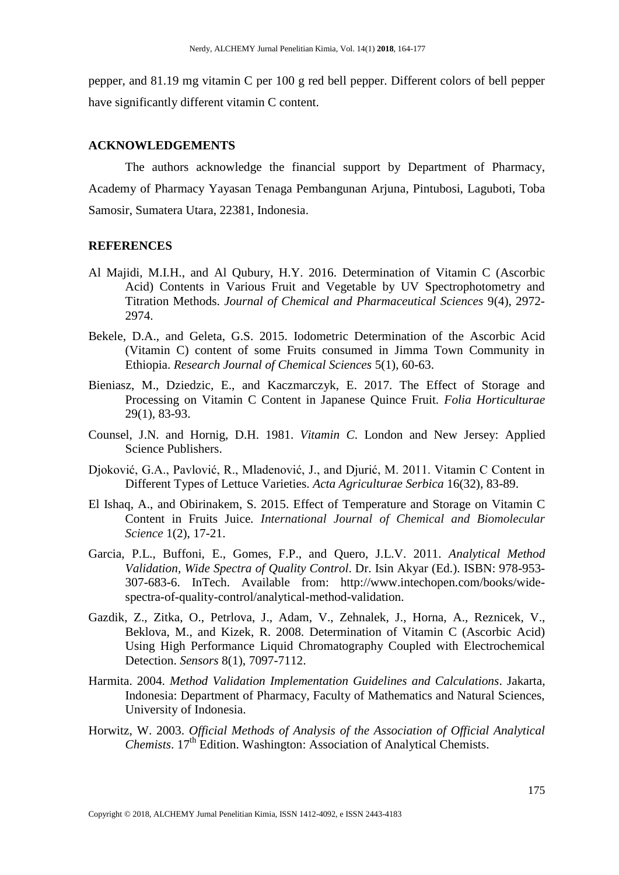pepper, and 81.19 mg vitamin C per 100 g red bell pepper. Different colors of bell pepper have significantly different vitamin C content.

## **ACKNOWLEDGEMENTS**

The authors acknowledge the financial support by Department of Pharmacy, Academy of Pharmacy Yayasan Tenaga Pembangunan Arjuna, Pintubosi, Laguboti, Toba Samosir, Sumatera Utara, 22381, Indonesia.

#### **REFERENCES**

- Al Majidi, M.I.H., and Al Qubury, H.Y. 2016. Determination of Vitamin C (Ascorbic Acid) Contents in Various Fruit and Vegetable by UV Spectrophotometry and Titration Methods. *Journal of Chemical and Pharmaceutical Sciences* 9(4), 2972- 2974.
- Bekele, D.A., and Geleta, G.S. 2015. Iodometric Determination of the Ascorbic Acid (Vitamin C) content of some Fruits consumed in Jimma Town Community in Ethiopia. *Research Journal of Chemical Sciences* 5(1), 60-63.
- Bieniasz, M., Dziedzic, E., and Kaczmarczyk, E. 2017. The Effect of Storage and Processing on Vitamin C Content in Japanese Quince Fruit. *Folia Horticulturae* 29(1), 83-93.
- Counsel, J.N. and Hornig, D.H. 1981. *Vitamin C*. London and New Jersey: Applied Science Publishers.
- Djoković, G.A., Pavlović, R., Mladenović, J., and Djurić, M. 2011. Vitamin C Content in Different Types of Lettuce Varieties. *Acta Agriculturae Serbica* 16(32), 83-89.
- El Ishaq, A., and Obirinakem, S. 2015. Effect of Temperature and Storage on Vitamin C Content in Fruits Juice. *International Journal of Chemical and Biomolecular Science* 1(2), 17-21.
- Garcia, P.L., Buffoni, E., Gomes, F.P., and Quero, J.L.V. 2011. *Analytical Method Validation, Wide Spectra of Quality Control*. Dr. Isin Akyar (Ed.). ISBN: 978-953- 307-683-6. InTech. Available from: http://www.intechopen.com/books/widespectra-of-quality-control/analytical-method-validation.
- Gazdik, Z., Zitka, O., Petrlova, J., Adam, V., Zehnalek, J., Horna, A., Reznicek, V., Beklova, M., and Kizek, R. 2008. Determination of Vitamin C (Ascorbic Acid) Using High Performance Liquid Chromatography Coupled with Electrochemical Detection. *Sensors* 8(1), 7097-7112.
- Harmita. 2004. *Method Validation Implementation Guidelines and Calculations*. Jakarta, Indonesia: Department of Pharmacy, Faculty of Mathematics and Natural Sciences, University of Indonesia.
- Horwitz, W. 2003. *Official Methods of Analysis of the Association of Official Analytical Chemists*. 17<sup>th</sup> Edition. Washington: Association of Analytical Chemists.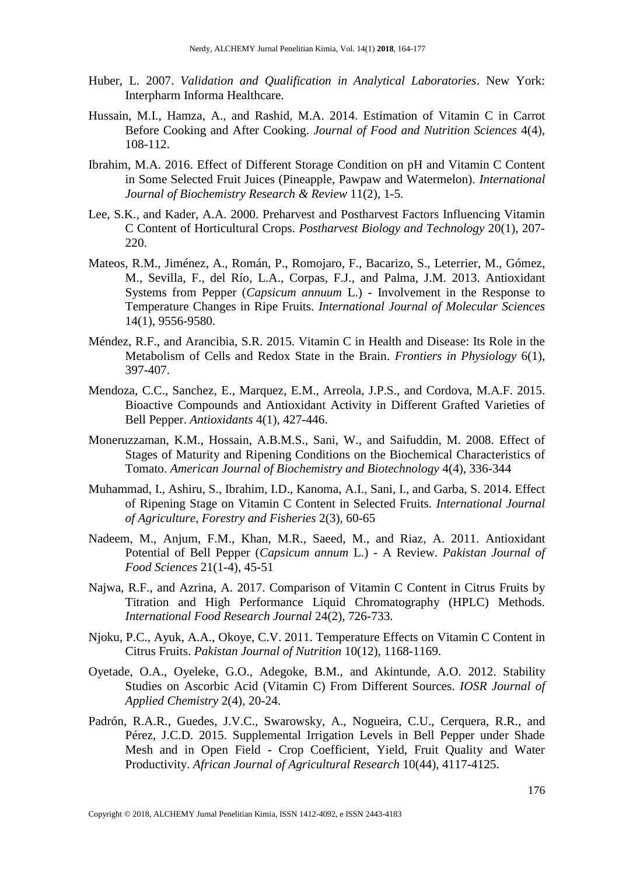- Huber, L. 2007. *Validation and Qualification in Analytical Laboratories*. New York: Interpharm Informa Healthcare.
- Hussain, M.I., Hamza, A., and Rashid, M.A. 2014. Estimation of Vitamin C in Carrot Before Cooking and After Cooking. *Journal of Food and Nutrition Sciences* 4(4), 108-112.
- Ibrahim, M.A. 2016. Effect of Different Storage Condition on pH and Vitamin C Content in Some Selected Fruit Juices (Pineapple, Pawpaw and Watermelon). *International Journal of Biochemistry Research & Review* 11(2), 1-5.
- Lee, S.K., and Kader, A.A. 2000. Preharvest and Postharvest Factors Influencing Vitamin C Content of Horticultural Crops. *Postharvest Biology and Technology* 20(1), 207- 220.
- Mateos, R.M., Jiménez, A., Román, P., Romojaro, F., Bacarizo, S., Leterrier, M., Gómez, M., Sevilla, F., del Río, L.A., Corpas, F.J., and Palma, J.M. 2013. Antioxidant Systems from Pepper (*Capsicum annuum* L.) - Involvement in the Response to Temperature Changes in Ripe Fruits. *International Journal of Molecular Sciences* 14(1), 9556-9580.
- Méndez, R.F., and Arancibia, S.R. 2015. Vitamin C in Health and Disease: Its Role in the Metabolism of Cells and Redox State in the Brain. *Frontiers in Physiology* 6(1), 397-407.
- Mendoza, C.C., Sanchez, E., Marquez, E.M., Arreola, J.P.S., and Cordova, M.A.F. 2015. Bioactive Compounds and Antioxidant Activity in Different Grafted Varieties of Bell Pepper. *Antioxidants* 4(1), 427-446.
- Moneruzzaman, K.M., Hossain, A.B.M.S., Sani, W., and Saifuddin, M. 2008. Effect of Stages of Maturity and Ripening Conditions on the Biochemical Characteristics of Tomato. *American Journal of Biochemistry and Biotechnology* 4(4), 336-344
- Muhammad, I., Ashiru, S., Ibrahim, I.D., Kanoma, A.I., Sani, I., and Garba, S. 2014. Effect of Ripening Stage on Vitamin C Content in Selected Fruits. *International Journal of Agriculture, Forestry and Fisheries* 2(3), 60-65
- Nadeem, M., Anjum, F.M., Khan, M.R., Saeed, M., and Riaz, A. 2011. Antioxidant Potential of Bell Pepper (*Capsicum annum* L.) - A Review. *Pakistan Journal of Food Sciences* 21(1-4), 45-51
- Najwa, R.F., and Azrina, A. 2017. Comparison of Vitamin C Content in Citrus Fruits by Titration and High Performance Liquid Chromatography (HPLC) Methods. *International Food Research Journal* 24(2), 726-733.
- Njoku, P.C., Ayuk, A.A., Okoye, C.V. 2011. Temperature Effects on Vitamin C Content in Citrus Fruits. *Pakistan Journal of Nutrition* 10(12), 1168-1169.
- Oyetade, O.A., Oyeleke, G.O., Adegoke, B.M., and Akintunde, A.O. 2012. Stability Studies on Ascorbic Acid (Vitamin C) From Different Sources. *IOSR Journal of Applied Chemistry* 2(4), 20-24.
- Padrón, R.A.R., Guedes, J.V.C., Swarowsky, A., Nogueira, C.U., Cerquera, R.R., and Pérez, J.C.D. 2015. Supplemental Irrigation Levels in Bell Pepper under Shade Mesh and in Open Field - Crop Coefficient, Yield, Fruit Quality and Water Productivity. *African Journal of Agricultural Research* 10(44), 4117-4125.